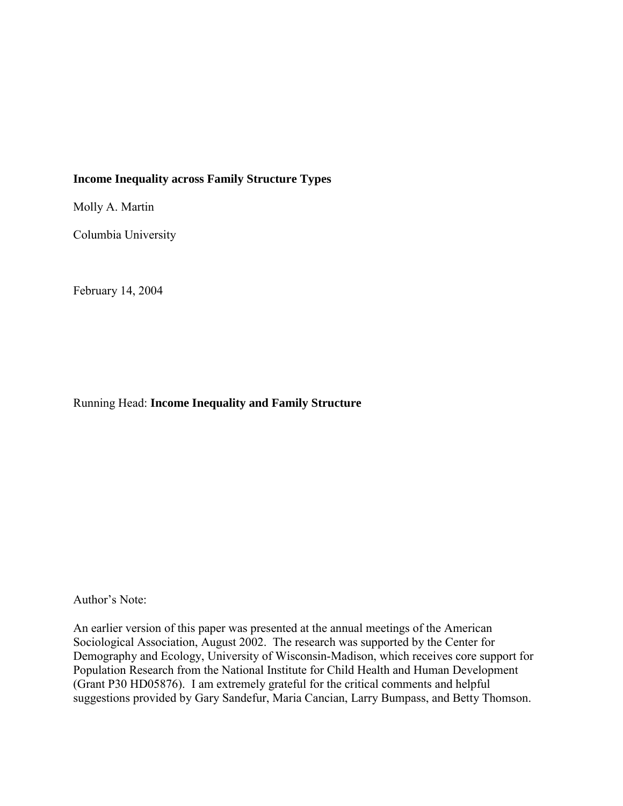# **Income Inequality across Family Structure Types**

Molly A. Martin

Columbia University

February 14, 2004

Running Head: **Income Inequality and Family Structure**

Author's Note:

An earlier version of this paper was presented at the annual meetings of the American Sociological Association, August 2002. The research was supported by the Center for Demography and Ecology, University of Wisconsin-Madison, which receives core support for Population Research from the National Institute for Child Health and Human Development (Grant P30 HD05876). I am extremely grateful for the critical comments and helpful suggestions provided by Gary Sandefur, Maria Cancian, Larry Bumpass, and Betty Thomson.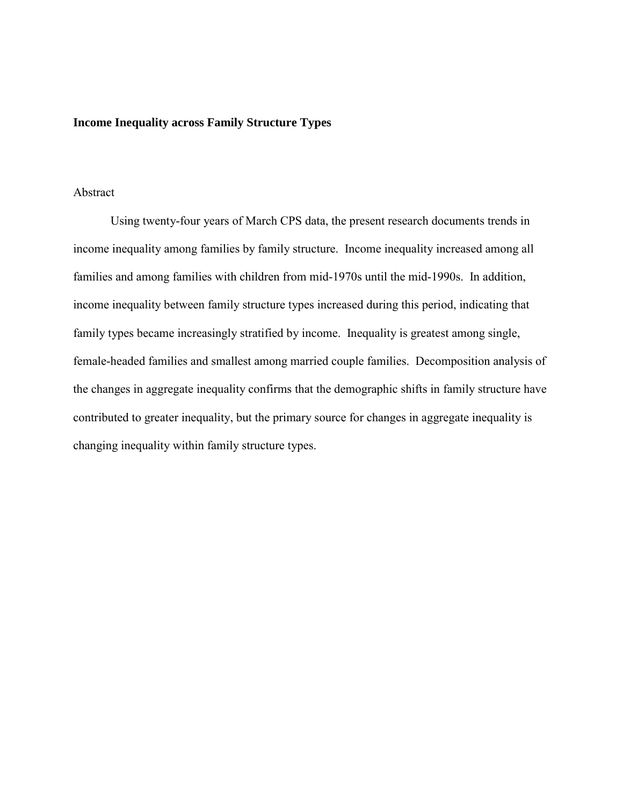#### **Income Inequality across Family Structure Types**

# Abstract

Using twenty-four years of March CPS data, the present research documents trends in income inequality among families by family structure. Income inequality increased among all families and among families with children from mid-1970s until the mid-1990s. In addition, income inequality between family structure types increased during this period, indicating that family types became increasingly stratified by income. Inequality is greatest among single, female-headed families and smallest among married couple families. Decomposition analysis of the changes in aggregate inequality confirms that the demographic shifts in family structure have contributed to greater inequality, but the primary source for changes in aggregate inequality is changing inequality within family structure types.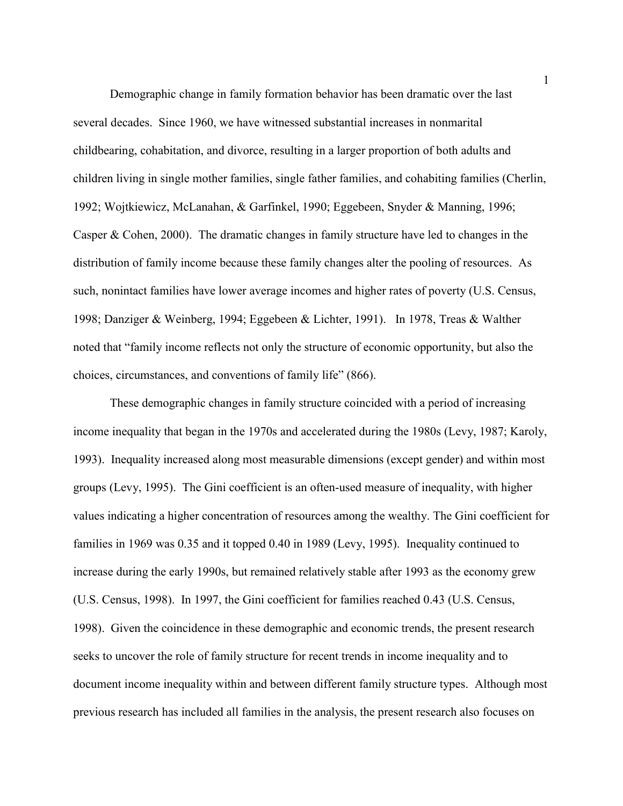Demographic change in family formation behavior has been dramatic over the last several decades. Since 1960, we have witnessed substantial increases in nonmarital childbearing, cohabitation, and divorce, resulting in a larger proportion of both adults and children living in single mother families, single father families, and cohabiting families (Cherlin, 1992; Wojtkiewicz, McLanahan, & Garfinkel, 1990; Eggebeen, Snyder & Manning, 1996; Casper & Cohen, 2000). The dramatic changes in family structure have led to changes in the distribution of family income because these family changes alter the pooling of resources. As such, nonintact families have lower average incomes and higher rates of poverty (U.S. Census, 1998; Danziger & Weinberg, 1994; Eggebeen & Lichter, 1991). In 1978, Treas & Walther noted that "family income reflects not only the structure of economic opportunity, but also the choices, circumstances, and conventions of family life" (866).

These demographic changes in family structure coincided with a period of increasing income inequality that began in the 1970s and accelerated during the 1980s (Levy, 1987; Karoly, 1993). Inequality increased along most measurable dimensions (except gender) and within most groups (Levy, 1995). The Gini coefficient is an often-used measure of inequality, with higher values indicating a higher concentration of resources among the wealthy. The Gini coefficient for families in 1969 was 0.35 and it topped 0.40 in 1989 (Levy, 1995). Inequality continued to increase during the early 1990s, but remained relatively stable after 1993 as the economy grew (U.S. Census, 1998). In 1997, the Gini coefficient for families reached 0.43 (U.S. Census, 1998). Given the coincidence in these demographic and economic trends, the present research seeks to uncover the role of family structure for recent trends in income inequality and to document income inequality within and between different family structure types. Although most previous research has included all families in the analysis, the present research also focuses on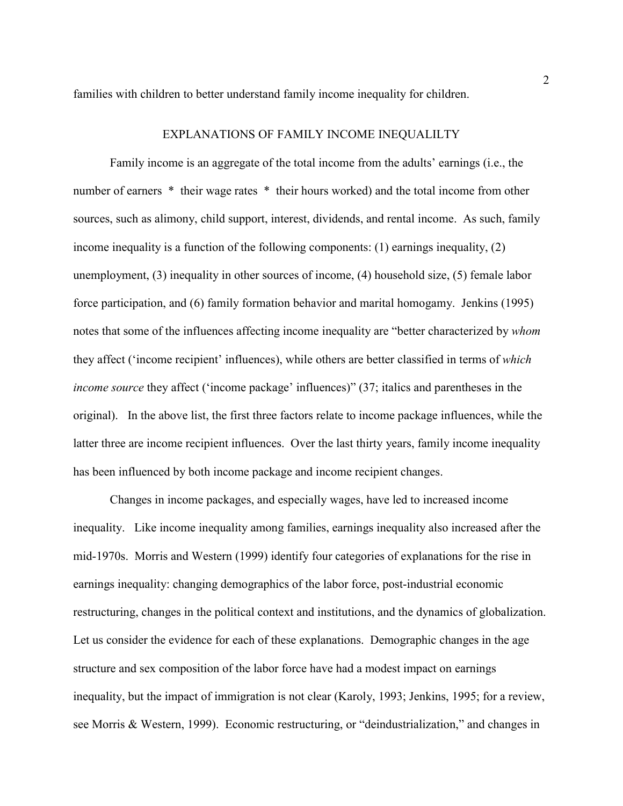families with children to better understand family income inequality for children.

## EXPLANATIONS OF FAMILY INCOME INEQUALILTY

Family income is an aggregate of the total income from the adults' earnings (i.e., the number of earners \* their wage rates \* their hours worked) and the total income from other sources, such as alimony, child support, interest, dividends, and rental income. As such, family income inequality is a function of the following components: (1) earnings inequality, (2) unemployment, (3) inequality in other sources of income, (4) household size, (5) female labor force participation, and (6) family formation behavior and marital homogamy. Jenkins (1995) notes that some of the influences affecting income inequality are "better characterized by *whom* they affect ('income recipient' influences), while others are better classified in terms of *which income source* they affect ('income package' influences)" (37; italics and parentheses in the original). In the above list, the first three factors relate to income package influences, while the latter three are income recipient influences. Over the last thirty years, family income inequality has been influenced by both income package and income recipient changes.

Changes in income packages, and especially wages, have led to increased income inequality. Like income inequality among families, earnings inequality also increased after the mid-1970s. Morris and Western (1999) identify four categories of explanations for the rise in earnings inequality: changing demographics of the labor force, post-industrial economic restructuring, changes in the political context and institutions, and the dynamics of globalization. Let us consider the evidence for each of these explanations. Demographic changes in the age structure and sex composition of the labor force have had a modest impact on earnings inequality, but the impact of immigration is not clear (Karoly, 1993; Jenkins, 1995; for a review, see Morris & Western, 1999). Economic restructuring, or "deindustrialization," and changes in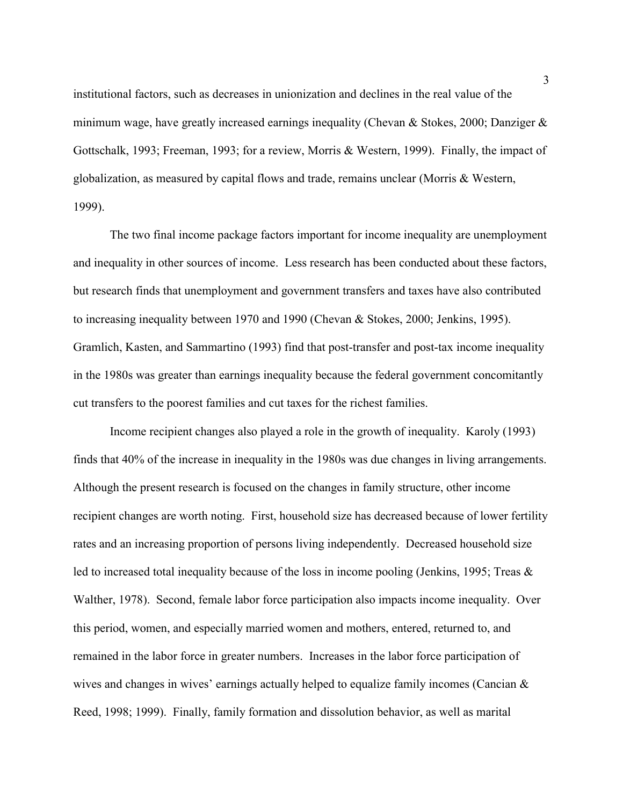institutional factors, such as decreases in unionization and declines in the real value of the minimum wage, have greatly increased earnings inequality (Chevan & Stokes, 2000; Danziger  $\&$ Gottschalk, 1993; Freeman, 1993; for a review, Morris & Western, 1999). Finally, the impact of globalization, as measured by capital flows and trade, remains unclear (Morris & Western, 1999).

The two final income package factors important for income inequality are unemployment and inequality in other sources of income. Less research has been conducted about these factors, but research finds that unemployment and government transfers and taxes have also contributed to increasing inequality between 1970 and 1990 (Chevan & Stokes, 2000; Jenkins, 1995). Gramlich, Kasten, and Sammartino (1993) find that post-transfer and post-tax income inequality in the 1980s was greater than earnings inequality because the federal government concomitantly cut transfers to the poorest families and cut taxes for the richest families.

Income recipient changes also played a role in the growth of inequality. Karoly (1993) finds that 40% of the increase in inequality in the 1980s was due changes in living arrangements. Although the present research is focused on the changes in family structure, other income recipient changes are worth noting. First, household size has decreased because of lower fertility rates and an increasing proportion of persons living independently. Decreased household size led to increased total inequality because of the loss in income pooling (Jenkins, 1995; Treas & Walther, 1978). Second, female labor force participation also impacts income inequality. Over this period, women, and especially married women and mothers, entered, returned to, and remained in the labor force in greater numbers. Increases in the labor force participation of wives and changes in wives' earnings actually helped to equalize family incomes (Cancian & Reed, 1998; 1999). Finally, family formation and dissolution behavior, as well as marital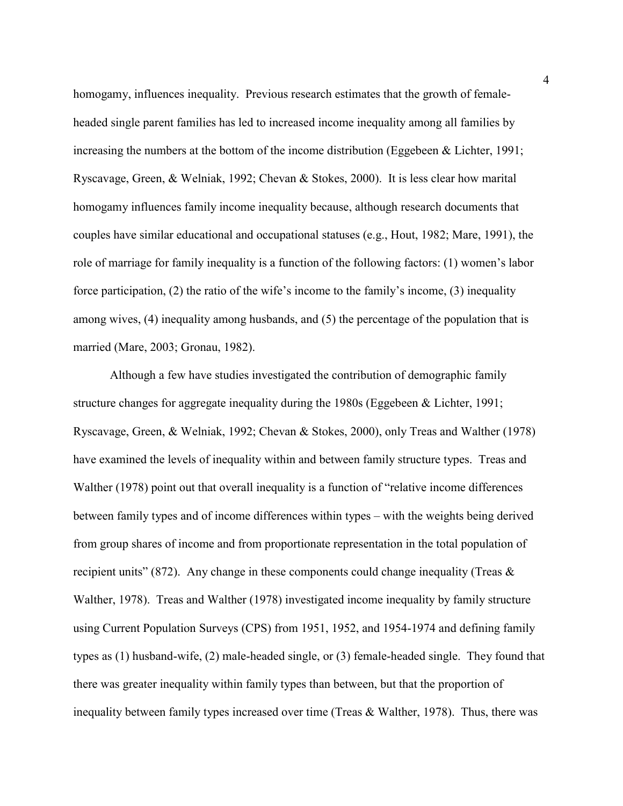homogamy, influences inequality. Previous research estimates that the growth of femaleheaded single parent families has led to increased income inequality among all families by increasing the numbers at the bottom of the income distribution (Eggebeen & Lichter, 1991; Ryscavage, Green, & Welniak, 1992; Chevan & Stokes, 2000). It is less clear how marital homogamy influences family income inequality because, although research documents that couples have similar educational and occupational statuses (e.g., Hout, 1982; Mare, 1991), the role of marriage for family inequality is a function of the following factors: (1) women's labor force participation, (2) the ratio of the wife's income to the family's income, (3) inequality among wives, (4) inequality among husbands, and (5) the percentage of the population that is married (Mare, 2003; Gronau, 1982).

Although a few have studies investigated the contribution of demographic family structure changes for aggregate inequality during the 1980s (Eggebeen & Lichter, 1991; Ryscavage, Green, & Welniak, 1992; Chevan & Stokes, 2000), only Treas and Walther (1978) have examined the levels of inequality within and between family structure types. Treas and Walther (1978) point out that overall inequality is a function of "relative income differences between family types and of income differences within types – with the weights being derived from group shares of income and from proportionate representation in the total population of recipient units" (872). Any change in these components could change inequality (Treas  $\&$ Walther, 1978). Treas and Walther (1978) investigated income inequality by family structure using Current Population Surveys (CPS) from 1951, 1952, and 1954-1974 and defining family types as (1) husband-wife, (2) male-headed single, or (3) female-headed single. They found that there was greater inequality within family types than between, but that the proportion of inequality between family types increased over time (Treas & Walther, 1978). Thus, there was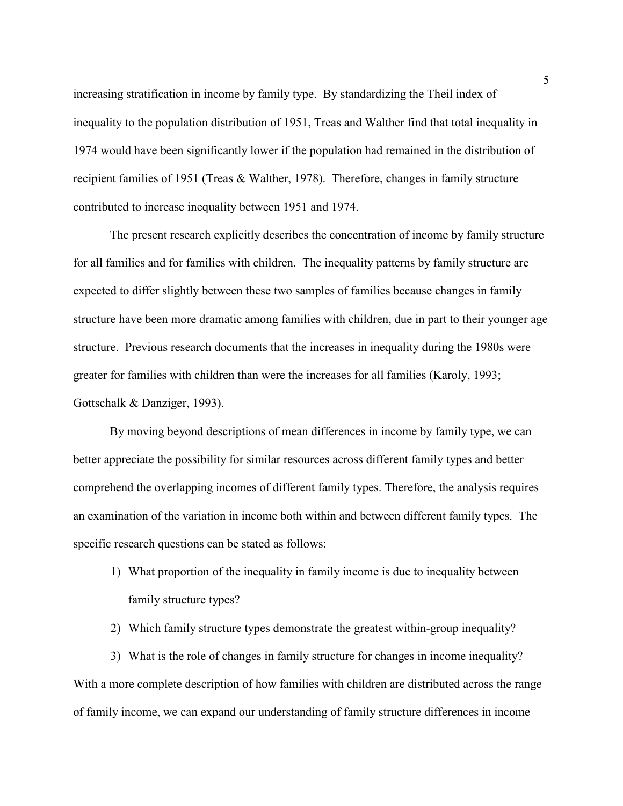increasing stratification in income by family type. By standardizing the Theil index of inequality to the population distribution of 1951, Treas and Walther find that total inequality in 1974 would have been significantly lower if the population had remained in the distribution of recipient families of 1951 (Treas & Walther, 1978). Therefore, changes in family structure contributed to increase inequality between 1951 and 1974.

The present research explicitly describes the concentration of income by family structure for all families and for families with children. The inequality patterns by family structure are expected to differ slightly between these two samples of families because changes in family structure have been more dramatic among families with children, due in part to their younger age structure. Previous research documents that the increases in inequality during the 1980s were greater for families with children than were the increases for all families (Karoly, 1993; Gottschalk & Danziger, 1993).

By moving beyond descriptions of mean differences in income by family type, we can better appreciate the possibility for similar resources across different family types and better comprehend the overlapping incomes of different family types. Therefore, the analysis requires an examination of the variation in income both within and between different family types. The specific research questions can be stated as follows:

- 1) What proportion of the inequality in family income is due to inequality between family structure types?
- 2) Which family structure types demonstrate the greatest within-group inequality?

3) What is the role of changes in family structure for changes in income inequality? With a more complete description of how families with children are distributed across the range of family income, we can expand our understanding of family structure differences in income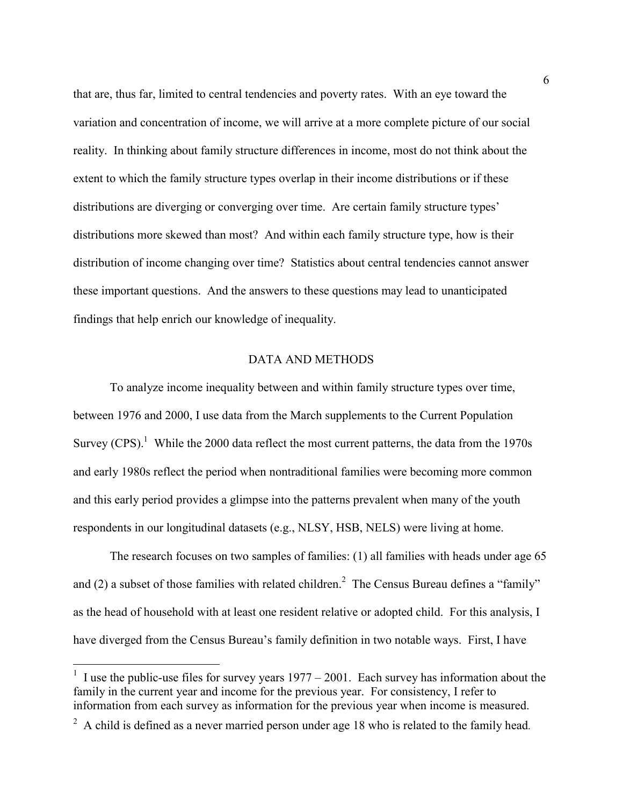that are, thus far, limited to central tendencies and poverty rates. With an eye toward the variation and concentration of income, we will arrive at a more complete picture of our social reality. In thinking about family structure differences in income, most do not think about the extent to which the family structure types overlap in their income distributions or if these distributions are diverging or converging over time. Are certain family structure types' distributions more skewed than most? And within each family structure type, how is their distribution of income changing over time? Statistics about central tendencies cannot answer these important questions. And the answers to these questions may lead to unanticipated findings that help enrich our knowledge of inequality.

## DATA AND METHODS

To analyze income inequality between and within family structure types over time, between 1976 and 2000, I use data from the March supplements to the Current Population Survey  $(CPS)$ <sup>1</sup>. While the 2000 data reflect the most current patterns, the data from the 1970s and early 1980s reflect the period when nontraditional families were becoming more common and this early period provides a glimpse into the patterns prevalent when many of the youth respondents in our longitudinal datasets (e.g., NLSY, HSB, NELS) were living at home.

The research focuses on two samples of families: (1) all families with heads under age 65 and (2) a subset of those families with related children.<sup>2</sup> The Census Bureau defines a "family" as the head of household with at least one resident relative or adopted child. For this analysis, I have diverged from the Census Bureau's family definition in two notable ways. First, I have

<u>.</u>

<sup>&</sup>lt;sup>1</sup> I use the public-use files for survey years  $1977 - 2001$ . Each survey has information about the family in the current year and income for the previous year. For consistency, I refer to information from each survey as information for the previous year when income is measured.

 $2^2$  A child is defined as a never married person under age 18 who is related to the family head.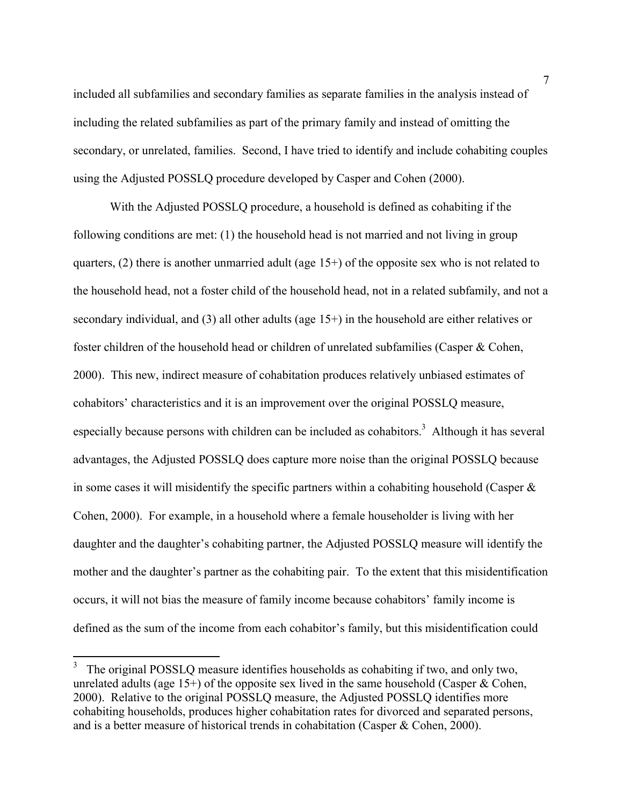included all subfamilies and secondary families as separate families in the analysis instead of including the related subfamilies as part of the primary family and instead of omitting the secondary, or unrelated, families. Second, I have tried to identify and include cohabiting couples using the Adjusted POSSLQ procedure developed by Casper and Cohen (2000).

With the Adjusted POSSLQ procedure, a household is defined as cohabiting if the following conditions are met: (1) the household head is not married and not living in group quarters, (2) there is another unmarried adult (age 15+) of the opposite sex who is not related to the household head, not a foster child of the household head, not in a related subfamily, and not a secondary individual, and (3) all other adults (age 15+) in the household are either relatives or foster children of the household head or children of unrelated subfamilies (Casper & Cohen, 2000). This new, indirect measure of cohabitation produces relatively unbiased estimates of cohabitors' characteristics and it is an improvement over the original POSSLQ measure, especially because persons with children can be included as cohabitors.<sup>3</sup> Although it has several advantages, the Adjusted POSSLQ does capture more noise than the original POSSLQ because in some cases it will misidentify the specific partners within a cohabiting household (Casper  $\&$ Cohen, 2000). For example, in a household where a female householder is living with her daughter and the daughter's cohabiting partner, the Adjusted POSSLQ measure will identify the mother and the daughter's partner as the cohabiting pair. To the extent that this misidentification occurs, it will not bias the measure of family income because cohabitors' family income is defined as the sum of the income from each cohabitor's family, but this misidentification could

<sup>&</sup>lt;sup>3</sup> The original POSSLQ measure identifies households as cohabiting if two, and only two, unrelated adults (age  $15+$ ) of the opposite sex lived in the same household (Casper & Cohen, 2000). Relative to the original POSSLQ measure, the Adjusted POSSLQ identifies more cohabiting households, produces higher cohabitation rates for divorced and separated persons, and is a better measure of historical trends in cohabitation (Casper & Cohen, 2000).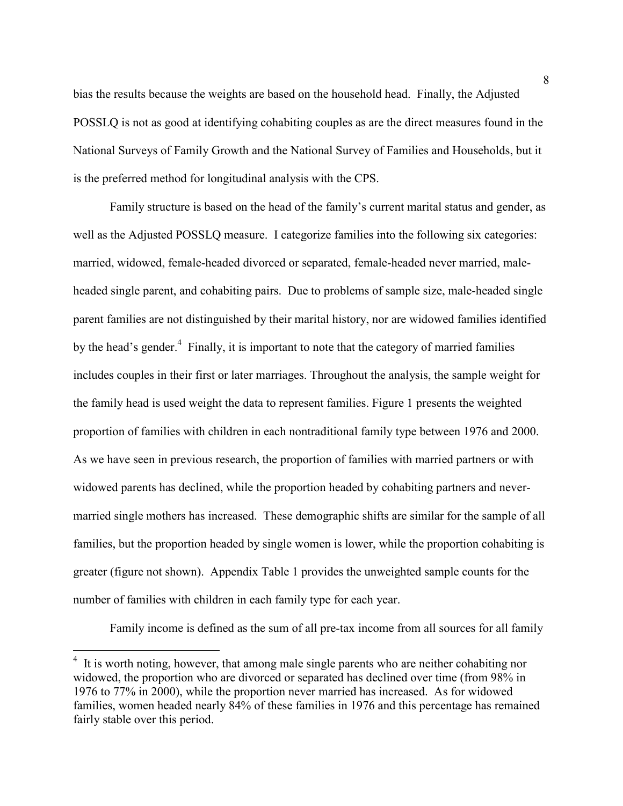bias the results because the weights are based on the household head. Finally, the Adjusted POSSLQ is not as good at identifying cohabiting couples as are the direct measures found in the National Surveys of Family Growth and the National Survey of Families and Households, but it is the preferred method for longitudinal analysis with the CPS.

Family structure is based on the head of the family's current marital status and gender, as well as the Adjusted POSSLQ measure. I categorize families into the following six categories: married, widowed, female-headed divorced or separated, female-headed never married, maleheaded single parent, and cohabiting pairs. Due to problems of sample size, male-headed single parent families are not distinguished by their marital history, nor are widowed families identified by the head's gender.<sup>4</sup> Finally, it is important to note that the category of married families includes couples in their first or later marriages. Throughout the analysis, the sample weight for the family head is used weight the data to represent families. Figure 1 presents the weighted proportion of families with children in each nontraditional family type between 1976 and 2000. As we have seen in previous research, the proportion of families with married partners or with widowed parents has declined, while the proportion headed by cohabiting partners and nevermarried single mothers has increased. These demographic shifts are similar for the sample of all families, but the proportion headed by single women is lower, while the proportion cohabiting is greater (figure not shown). Appendix Table 1 provides the unweighted sample counts for the number of families with children in each family type for each year.

Family income is defined as the sum of all pre-tax income from all sources for all family

<u>.</u>

<sup>&</sup>lt;sup>4</sup> It is worth noting, however, that among male single parents who are neither cohabiting nor widowed, the proportion who are divorced or separated has declined over time (from 98% in 1976 to 77% in 2000), while the proportion never married has increased. As for widowed families, women headed nearly 84% of these families in 1976 and this percentage has remained fairly stable over this period.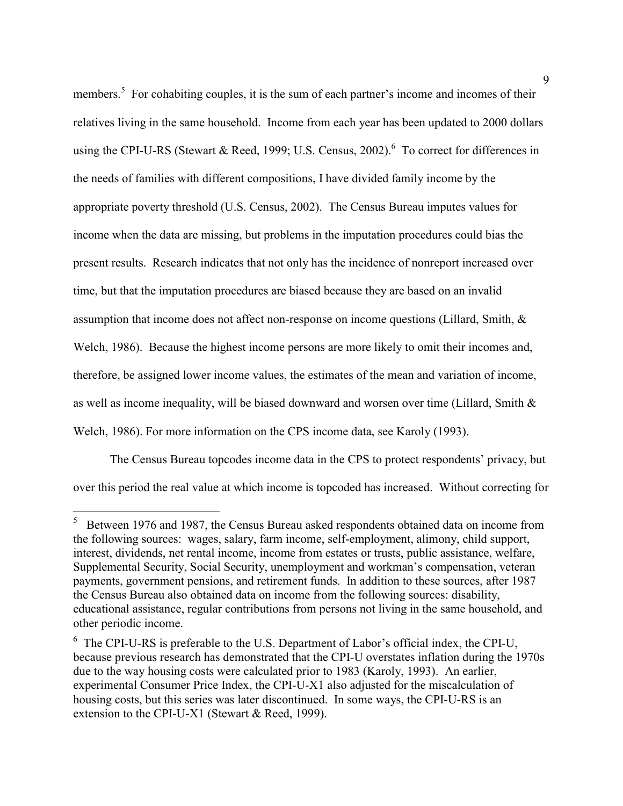members.<sup>5</sup> For cohabiting couples, it is the sum of each partner's income and incomes of their relatives living in the same household. Income from each year has been updated to 2000 dollars using the CPI-U-RS (Stewart & Reed, 1999; U.S. Census, 2002). <sup>6</sup> To correct for differences in the needs of families with different compositions, I have divided family income by the appropriate poverty threshold (U.S. Census, 2002). The Census Bureau imputes values for income when the data are missing, but problems in the imputation procedures could bias the present results. Research indicates that not only has the incidence of nonreport increased over time, but that the imputation procedures are biased because they are based on an invalid assumption that income does not affect non-response on income questions (Lillard, Smith, & Welch, 1986). Because the highest income persons are more likely to omit their incomes and, therefore, be assigned lower income values, the estimates of the mean and variation of income, as well as income inequality, will be biased downward and worsen over time (Lillard, Smith & Welch, 1986). For more information on the CPS income data, see Karoly (1993).

The Census Bureau topcodes income data in the CPS to protect respondents' privacy, but over this period the real value at which income is topcoded has increased. Without correcting for

 $\overline{a}$ 

<sup>5</sup> Between 1976 and 1987, the Census Bureau asked respondents obtained data on income from the following sources: wages, salary, farm income, self-employment, alimony, child support, interest, dividends, net rental income, income from estates or trusts, public assistance, welfare, Supplemental Security, Social Security, unemployment and workman's compensation, veteran payments, government pensions, and retirement funds. In addition to these sources, after 1987 the Census Bureau also obtained data on income from the following sources: disability, educational assistance, regular contributions from persons not living in the same household, and other periodic income.

<sup>&</sup>lt;sup>6</sup> The CPI-U-RS is preferable to the U.S. Department of Labor's official index, the CPI-U, because previous research has demonstrated that the CPI-U overstates inflation during the 1970s due to the way housing costs were calculated prior to 1983 (Karoly, 1993). An earlier, experimental Consumer Price Index, the CPI-U-X1 also adjusted for the miscalculation of housing costs, but this series was later discontinued. In some ways, the CPI-U-RS is an extension to the CPI-U-X1 (Stewart & Reed, 1999).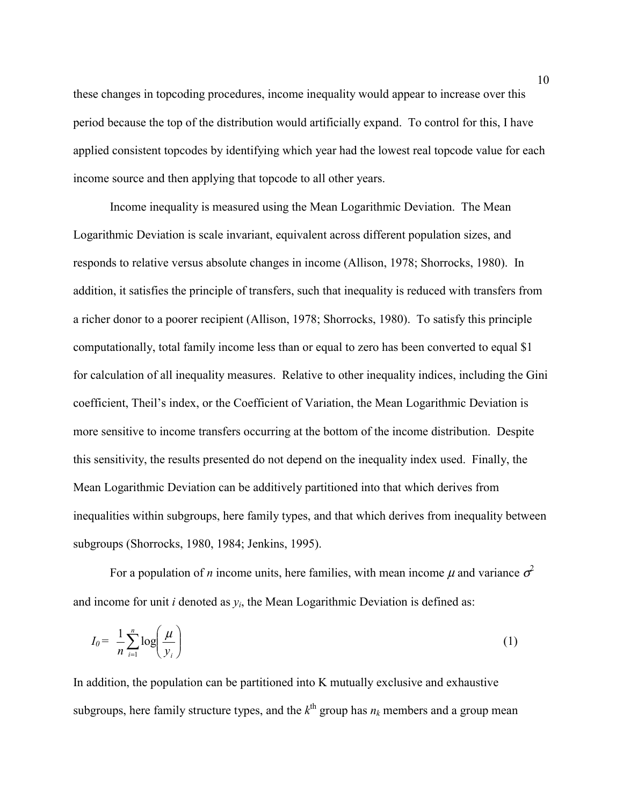these changes in topcoding procedures, income inequality would appear to increase over this period because the top of the distribution would artificially expand. To control for this, I have applied consistent topcodes by identifying which year had the lowest real topcode value for each income source and then applying that topcode to all other years.

Income inequality is measured using the Mean Logarithmic Deviation. The Mean Logarithmic Deviation is scale invariant, equivalent across different population sizes, and responds to relative versus absolute changes in income (Allison, 1978; Shorrocks, 1980). In addition, it satisfies the principle of transfers, such that inequality is reduced with transfers from a richer donor to a poorer recipient (Allison, 1978; Shorrocks, 1980). To satisfy this principle computationally, total family income less than or equal to zero has been converted to equal \$1 for calculation of all inequality measures. Relative to other inequality indices, including the Gini coefficient, Theil's index, or the Coefficient of Variation, the Mean Logarithmic Deviation is more sensitive to income transfers occurring at the bottom of the income distribution. Despite this sensitivity, the results presented do not depend on the inequality index used. Finally, the Mean Logarithmic Deviation can be additively partitioned into that which derives from inequalities within subgroups, here family types, and that which derives from inequality between subgroups (Shorrocks, 1980, 1984; Jenkins, 1995).

For a population of *n* income units, here families, with mean income  $\mu$  and variance  $\sigma^2$ and income for unit  $i$  denoted as  $y_i$ , the Mean Logarithmic Deviation is defined as:

$$
I_0 = \frac{1}{n} \sum_{i=1}^n \log \left( \frac{\mu}{y_i} \right) \tag{1}
$$

In addition, the population can be partitioned into K mutually exclusive and exhaustive subgroups, here family structure types, and the  $k^{\text{th}}$  group has  $n_k$  members and a group mean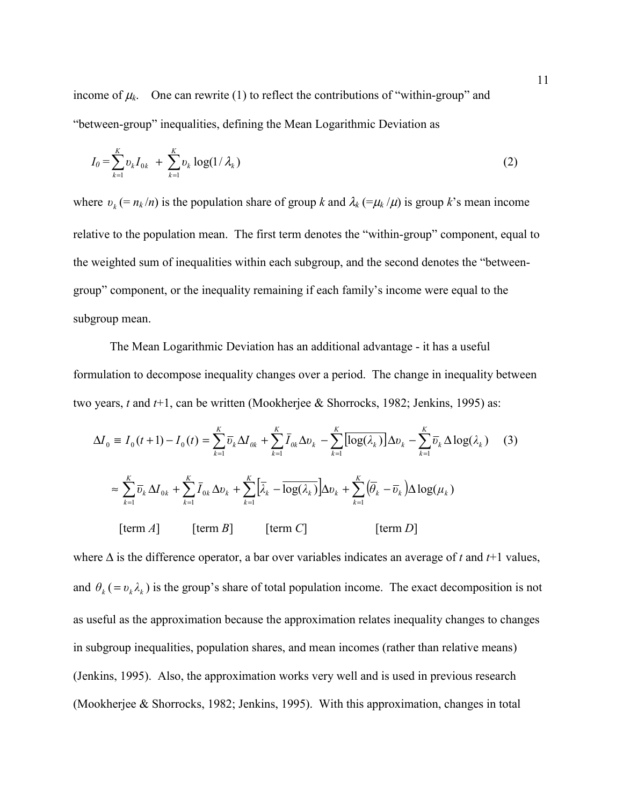income of  $\mu_k$ . One can rewrite (1) to reflect the contributions of "within-group" and "between-group" inequalities, defining the Mean Logarithmic Deviation as

$$
I_0 = \sum_{k=1}^{K} v_k I_{0k} + \sum_{k=1}^{K} v_k \log(1/\lambda_k)
$$
 (2)

where  $v_k = n_k/n$  is the population share of group *k* and  $\lambda_k (= \mu_k/\mu)$  is group *k*'s mean income relative to the population mean. The first term denotes the "within-group" component, equal to the weighted sum of inequalities within each subgroup, and the second denotes the "betweengroup" component, or the inequality remaining if each family's income were equal to the subgroup mean.

The Mean Logarithmic Deviation has an additional advantage - it has a useful formulation to decompose inequality changes over a period. The change in inequality between two years, *t* and *t*+1, can be written (Mookherjee & Shorrocks, 1982; Jenkins, 1995) as:

$$
\Delta I_0 \equiv I_0(t+1) - I_0(t) = \sum_{k=1}^K \overline{v}_k \Delta I_{0k} + \sum_{k=1}^K \overline{I}_{0k} \Delta v_k - \sum_{k=1}^K \overline{[\log(\lambda_k)]} \Delta v_k - \sum_{k=1}^K \overline{v}_k \Delta \log(\lambda_k) \quad (3)
$$

$$
\approx \sum_{k=1}^K \overline{v}_k \Delta I_{0k} + \sum_{k=1}^K \overline{I}_{0k} \Delta v_k + \sum_{k=1}^K \left[ \overline{\lambda}_k - \overline{\log(\lambda_k)} \right] \Delta v_k + \sum_{k=1}^K \left( \overline{\theta}_k - \overline{v}_k \right) \Delta \log(\mu_k)
$$

$$
\text{[term } A] \qquad \text{[term } B] \qquad \text{[term } C] \qquad \text{[term } D]
$$

where ∆ is the difference operator, a bar over variables indicates an average of *t* and *t*+1 values, and  $\theta_k$  (=  $v_k \lambda_k$ ) is the group's share of total population income. The exact decomposition is not as useful as the approximation because the approximation relates inequality changes to changes in subgroup inequalities, population shares, and mean incomes (rather than relative means) (Jenkins, 1995). Also, the approximation works very well and is used in previous research (Mookherjee & Shorrocks, 1982; Jenkins, 1995). With this approximation, changes in total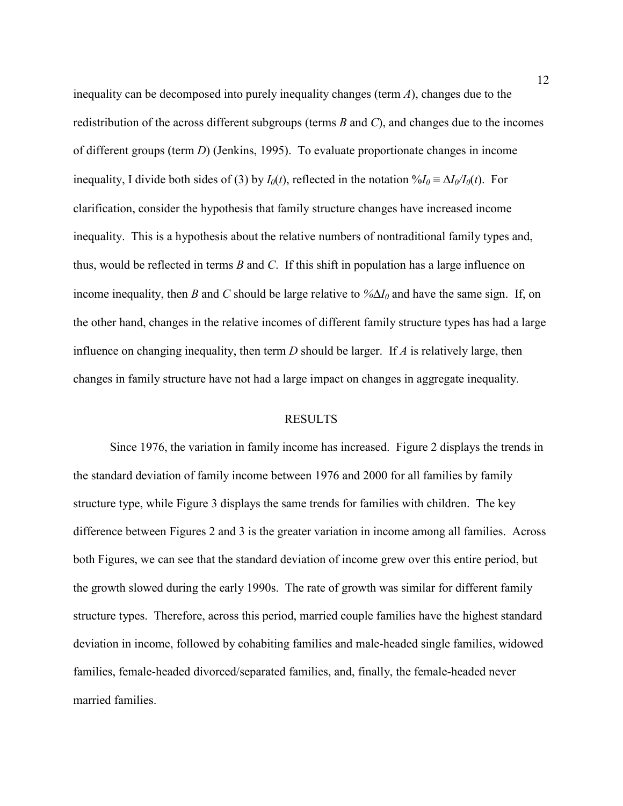inequality can be decomposed into purely inequality changes (term *A*), changes due to the redistribution of the across different subgroups (terms *B* and *C*), and changes due to the incomes of different groups (term *D*) (Jenkins, 1995). To evaluate proportionate changes in income inequality, I divide both sides of (3) by  $I_0(t)$ , reflected in the notation  $\sqrt{I_0} = \Delta I_0/I_0(t)$ . For clarification, consider the hypothesis that family structure changes have increased income inequality. This is a hypothesis about the relative numbers of nontraditional family types and, thus, would be reflected in terms *B* and *C*. If this shift in population has a large influence on income inequality, then *B* and *C* should be large relative to *%*∆*I0* and have the same sign. If, on the other hand, changes in the relative incomes of different family structure types has had a large influence on changing inequality, then term *D* should be larger. If *A* is relatively large, then changes in family structure have not had a large impact on changes in aggregate inequality.

#### RESULTS

Since 1976, the variation in family income has increased. Figure 2 displays the trends in the standard deviation of family income between 1976 and 2000 for all families by family structure type, while Figure 3 displays the same trends for families with children. The key difference between Figures 2 and 3 is the greater variation in income among all families. Across both Figures, we can see that the standard deviation of income grew over this entire period, but the growth slowed during the early 1990s. The rate of growth was similar for different family structure types. Therefore, across this period, married couple families have the highest standard deviation in income, followed by cohabiting families and male-headed single families, widowed families, female-headed divorced/separated families, and, finally, the female-headed never married families.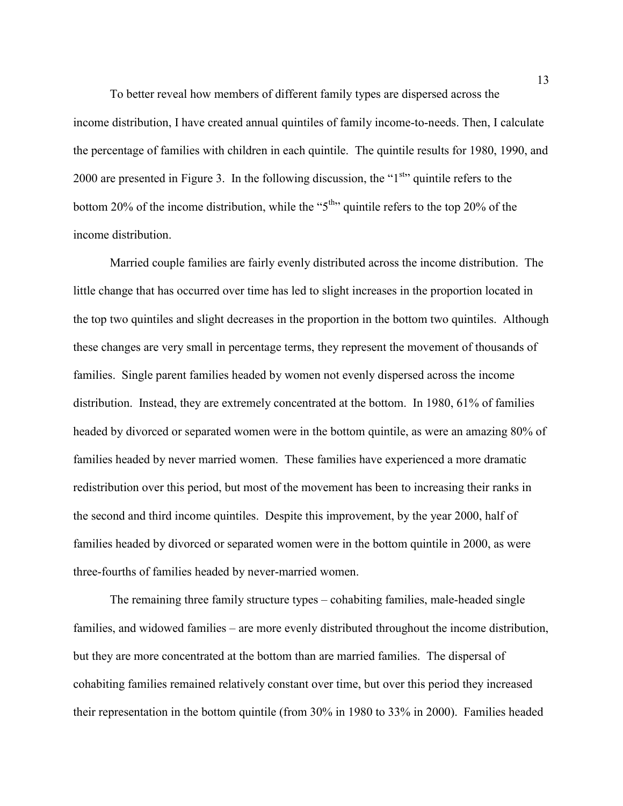To better reveal how members of different family types are dispersed across the income distribution, I have created annual quintiles of family income-to-needs. Then, I calculate the percentage of families with children in each quintile. The quintile results for 1980, 1990, and 2000 are presented in Figure 3. In the following discussion, the "1<sup>st</sup>" quintile refers to the bottom 20% of the income distribution, while the "5<sup>th</sup>" quintile refers to the top 20% of the income distribution.

Married couple families are fairly evenly distributed across the income distribution. The little change that has occurred over time has led to slight increases in the proportion located in the top two quintiles and slight decreases in the proportion in the bottom two quintiles. Although these changes are very small in percentage terms, they represent the movement of thousands of families. Single parent families headed by women not evenly dispersed across the income distribution. Instead, they are extremely concentrated at the bottom. In 1980, 61% of families headed by divorced or separated women were in the bottom quintile, as were an amazing 80% of families headed by never married women. These families have experienced a more dramatic redistribution over this period, but most of the movement has been to increasing their ranks in the second and third income quintiles. Despite this improvement, by the year 2000, half of families headed by divorced or separated women were in the bottom quintile in 2000, as were three-fourths of families headed by never-married women.

The remaining three family structure types – cohabiting families, male-headed single families, and widowed families – are more evenly distributed throughout the income distribution, but they are more concentrated at the bottom than are married families. The dispersal of cohabiting families remained relatively constant over time, but over this period they increased their representation in the bottom quintile (from 30% in 1980 to 33% in 2000). Families headed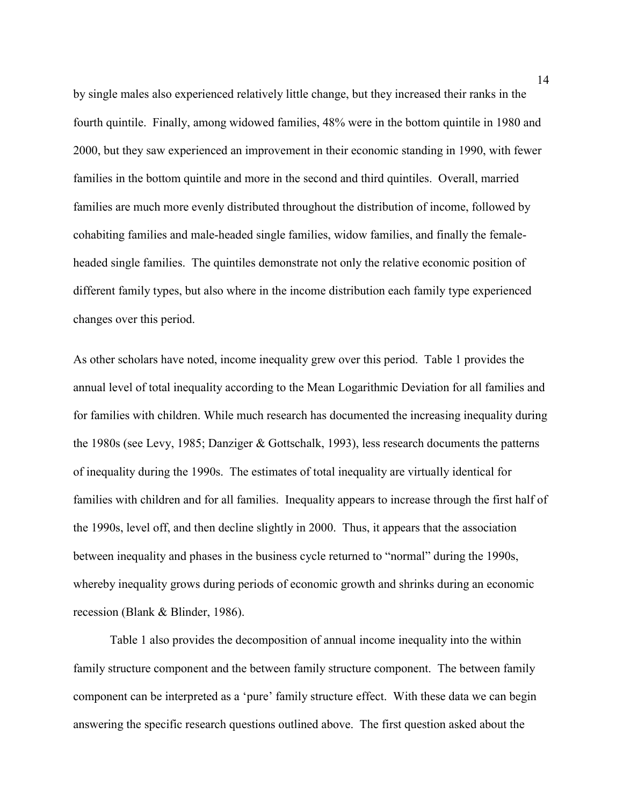by single males also experienced relatively little change, but they increased their ranks in the fourth quintile. Finally, among widowed families, 48% were in the bottom quintile in 1980 and 2000, but they saw experienced an improvement in their economic standing in 1990, with fewer families in the bottom quintile and more in the second and third quintiles. Overall, married families are much more evenly distributed throughout the distribution of income, followed by cohabiting families and male-headed single families, widow families, and finally the femaleheaded single families. The quintiles demonstrate not only the relative economic position of different family types, but also where in the income distribution each family type experienced changes over this period.

As other scholars have noted, income inequality grew over this period. Table 1 provides the annual level of total inequality according to the Mean Logarithmic Deviation for all families and for families with children. While much research has documented the increasing inequality during the 1980s (see Levy, 1985; Danziger & Gottschalk, 1993), less research documents the patterns of inequality during the 1990s. The estimates of total inequality are virtually identical for families with children and for all families. Inequality appears to increase through the first half of the 1990s, level off, and then decline slightly in 2000. Thus, it appears that the association between inequality and phases in the business cycle returned to "normal" during the 1990s, whereby inequality grows during periods of economic growth and shrinks during an economic recession (Blank & Blinder, 1986).

Table 1 also provides the decomposition of annual income inequality into the within family structure component and the between family structure component. The between family component can be interpreted as a 'pure' family structure effect. With these data we can begin answering the specific research questions outlined above. The first question asked about the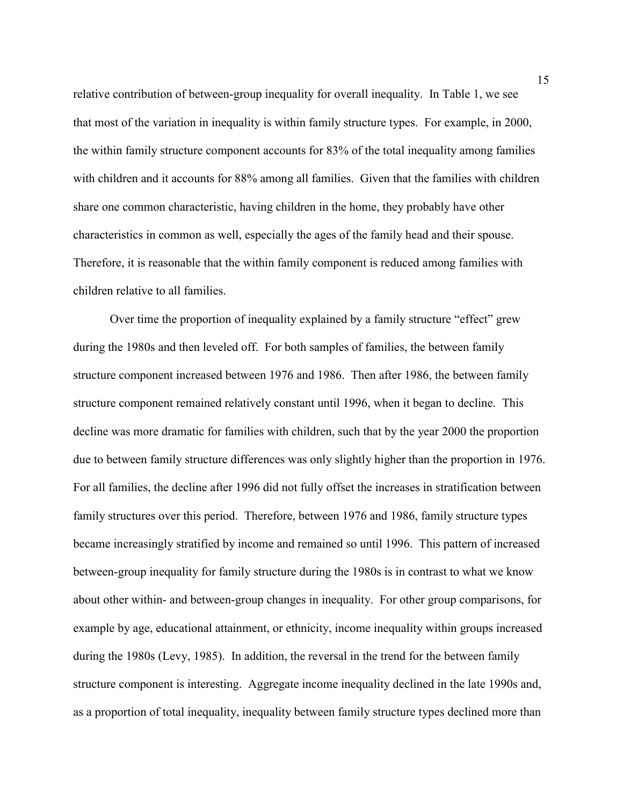relative contribution of between-group inequality for overall inequality. In Table 1, we see that most of the variation in inequality is within family structure types. For example, in 2000, the within family structure component accounts for 83% of the total inequality among families with children and it accounts for 88% among all families. Given that the families with children share one common characteristic, having children in the home, they probably have other characteristics in common as well, especially the ages of the family head and their spouse. Therefore, it is reasonable that the within family component is reduced among families with children relative to all families.

Over time the proportion of inequality explained by a family structure "effect" grew during the 1980s and then leveled off. For both samples of families, the between family structure component increased between 1976 and 1986. Then after 1986, the between family structure component remained relatively constant until 1996, when it began to decline. This decline was more dramatic for families with children, such that by the year 2000 the proportion due to between family structure differences was only slightly higher than the proportion in 1976. For all families, the decline after 1996 did not fully offset the increases in stratification between family structures over this period. Therefore, between 1976 and 1986, family structure types became increasingly stratified by income and remained so until 1996. This pattern of increased between-group inequality for family structure during the 1980s is in contrast to what we know about other within- and between-group changes in inequality. For other group comparisons, for example by age, educational attainment, or ethnicity, income inequality within groups increased during the 1980s (Levy, 1985). In addition, the reversal in the trend for the between family structure component is interesting. Aggregate income inequality declined in the late 1990s and, as a proportion of total inequality, inequality between family structure types declined more than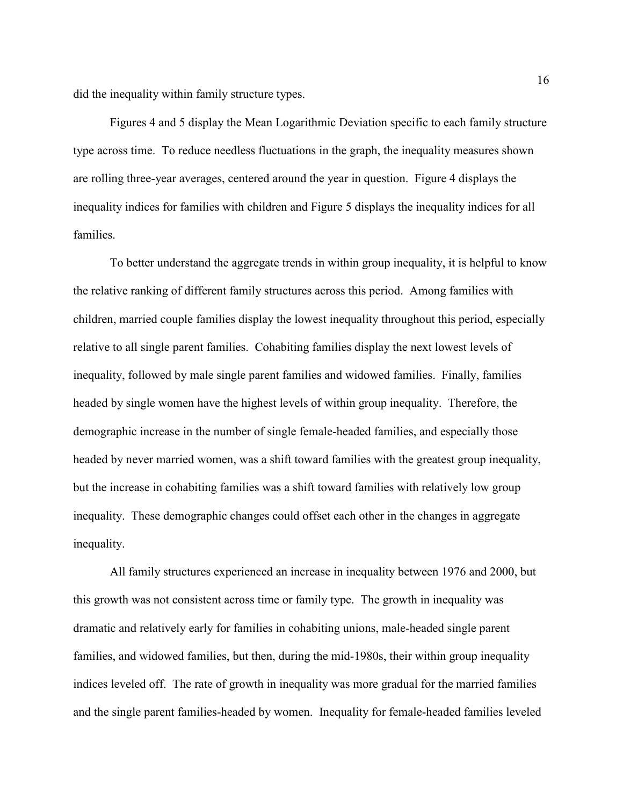did the inequality within family structure types.

Figures 4 and 5 display the Mean Logarithmic Deviation specific to each family structure type across time. To reduce needless fluctuations in the graph, the inequality measures shown are rolling three-year averages, centered around the year in question. Figure 4 displays the inequality indices for families with children and Figure 5 displays the inequality indices for all families.

To better understand the aggregate trends in within group inequality, it is helpful to know the relative ranking of different family structures across this period. Among families with children, married couple families display the lowest inequality throughout this period, especially relative to all single parent families. Cohabiting families display the next lowest levels of inequality, followed by male single parent families and widowed families. Finally, families headed by single women have the highest levels of within group inequality. Therefore, the demographic increase in the number of single female-headed families, and especially those headed by never married women, was a shift toward families with the greatest group inequality, but the increase in cohabiting families was a shift toward families with relatively low group inequality. These demographic changes could offset each other in the changes in aggregate inequality.

All family structures experienced an increase in inequality between 1976 and 2000, but this growth was not consistent across time or family type. The growth in inequality was dramatic and relatively early for families in cohabiting unions, male-headed single parent families, and widowed families, but then, during the mid-1980s, their within group inequality indices leveled off. The rate of growth in inequality was more gradual for the married families and the single parent families-headed by women. Inequality for female-headed families leveled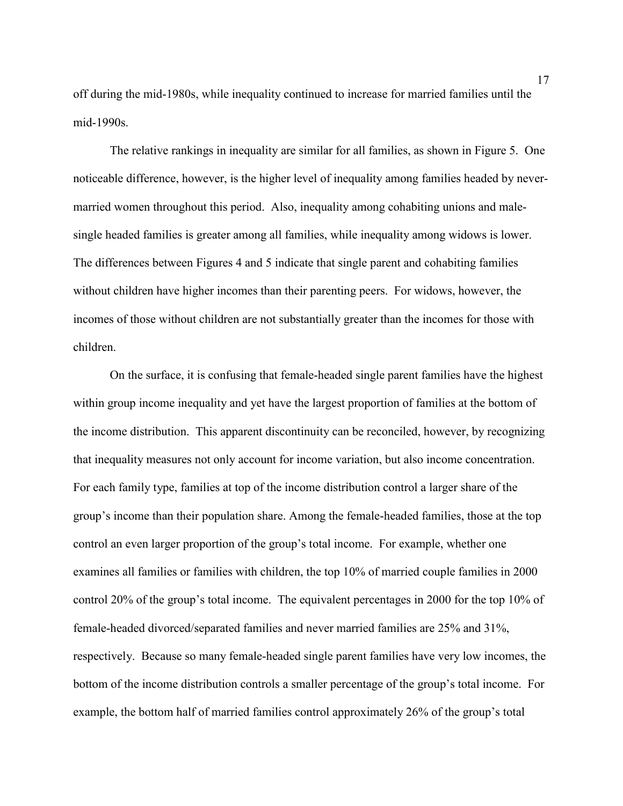off during the mid-1980s, while inequality continued to increase for married families until the mid-1990s.

The relative rankings in inequality are similar for all families, as shown in Figure 5. One noticeable difference, however, is the higher level of inequality among families headed by nevermarried women throughout this period. Also, inequality among cohabiting unions and malesingle headed families is greater among all families, while inequality among widows is lower. The differences between Figures 4 and 5 indicate that single parent and cohabiting families without children have higher incomes than their parenting peers. For widows, however, the incomes of those without children are not substantially greater than the incomes for those with children.

On the surface, it is confusing that female-headed single parent families have the highest within group income inequality and yet have the largest proportion of families at the bottom of the income distribution. This apparent discontinuity can be reconciled, however, by recognizing that inequality measures not only account for income variation, but also income concentration. For each family type, families at top of the income distribution control a larger share of the group's income than their population share. Among the female-headed families, those at the top control an even larger proportion of the group's total income. For example, whether one examines all families or families with children, the top 10% of married couple families in 2000 control 20% of the group's total income. The equivalent percentages in 2000 for the top 10% of female-headed divorced/separated families and never married families are 25% and 31%, respectively. Because so many female-headed single parent families have very low incomes, the bottom of the income distribution controls a smaller percentage of the group's total income. For example, the bottom half of married families control approximately 26% of the group's total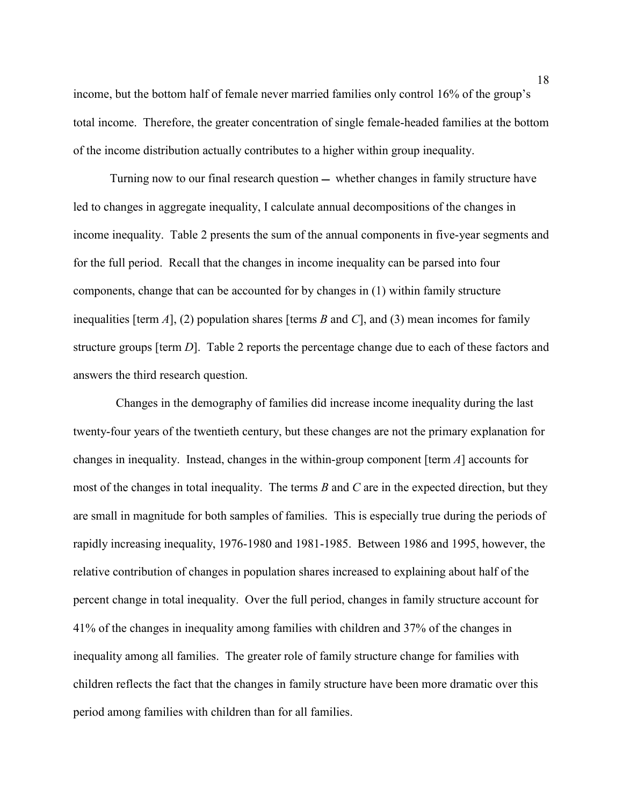income, but the bottom half of female never married families only control 16% of the group's total income. Therefore, the greater concentration of single female-headed families at the bottom of the income distribution actually contributes to a higher within group inequality.

Turning now to our final research question  $-$  whether changes in family structure have led to changes in aggregate inequality, I calculate annual decompositions of the changes in income inequality. Table 2 presents the sum of the annual components in five-year segments and for the full period. Recall that the changes in income inequality can be parsed into four components, change that can be accounted for by changes in (1) within family structure inequalities [term *A*], (2) population shares [terms *B* and *C*], and (3) mean incomes for family structure groups [term *D*]. Table 2 reports the percentage change due to each of these factors and answers the third research question.

 Changes in the demography of families did increase income inequality during the last twenty-four years of the twentieth century, but these changes are not the primary explanation for changes in inequality. Instead, changes in the within-group component [term *A*] accounts for most of the changes in total inequality. The terms *B* and *C* are in the expected direction, but they are small in magnitude for both samples of families. This is especially true during the periods of rapidly increasing inequality, 1976-1980 and 1981-1985. Between 1986 and 1995, however, the relative contribution of changes in population shares increased to explaining about half of the percent change in total inequality. Over the full period, changes in family structure account for 41% of the changes in inequality among families with children and 37% of the changes in inequality among all families. The greater role of family structure change for families with children reflects the fact that the changes in family structure have been more dramatic over this period among families with children than for all families.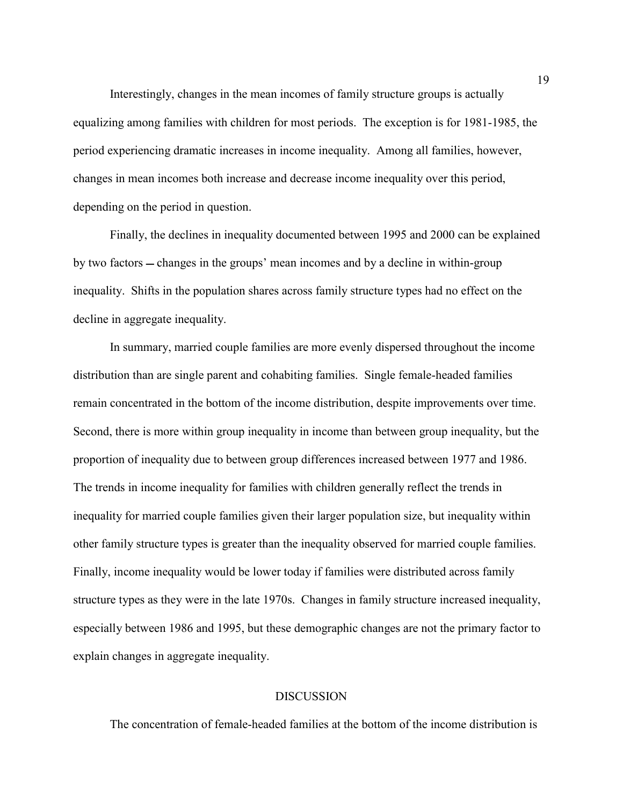Interestingly, changes in the mean incomes of family structure groups is actually equalizing among families with children for most periods. The exception is for 1981-1985, the period experiencing dramatic increases in income inequality. Among all families, however, changes in mean incomes both increase and decrease income inequality over this period, depending on the period in question.

Finally, the declines in inequality documented between 1995 and 2000 can be explained by two factors – changes in the groups' mean incomes and by a decline in within-group inequality. Shifts in the population shares across family structure types had no effect on the decline in aggregate inequality.

In summary, married couple families are more evenly dispersed throughout the income distribution than are single parent and cohabiting families. Single female-headed families remain concentrated in the bottom of the income distribution, despite improvements over time. Second, there is more within group inequality in income than between group inequality, but the proportion of inequality due to between group differences increased between 1977 and 1986. The trends in income inequality for families with children generally reflect the trends in inequality for married couple families given their larger population size, but inequality within other family structure types is greater than the inequality observed for married couple families. Finally, income inequality would be lower today if families were distributed across family structure types as they were in the late 1970s. Changes in family structure increased inequality, especially between 1986 and 1995, but these demographic changes are not the primary factor to explain changes in aggregate inequality.

#### **DISCUSSION**

The concentration of female-headed families at the bottom of the income distribution is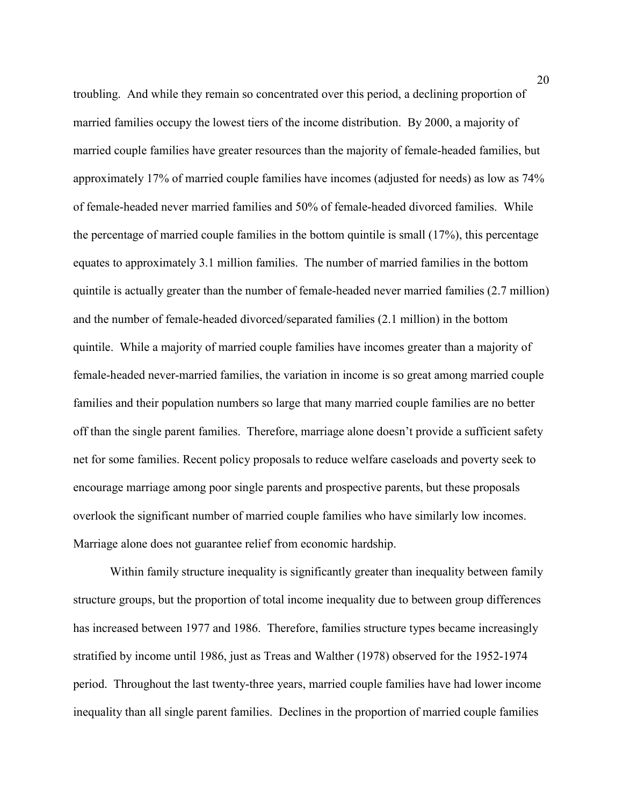troubling. And while they remain so concentrated over this period, a declining proportion of married families occupy the lowest tiers of the income distribution. By 2000, a majority of married couple families have greater resources than the majority of female-headed families, but approximately 17% of married couple families have incomes (adjusted for needs) as low as 74% of female-headed never married families and 50% of female-headed divorced families. While the percentage of married couple families in the bottom quintile is small (17%), this percentage equates to approximately 3.1 million families. The number of married families in the bottom quintile is actually greater than the number of female-headed never married families (2.7 million) and the number of female-headed divorced/separated families (2.1 million) in the bottom quintile. While a majority of married couple families have incomes greater than a majority of female-headed never-married families, the variation in income is so great among married couple families and their population numbers so large that many married couple families are no better off than the single parent families. Therefore, marriage alone doesn't provide a sufficient safety net for some families. Recent policy proposals to reduce welfare caseloads and poverty seek to encourage marriage among poor single parents and prospective parents, but these proposals overlook the significant number of married couple families who have similarly low incomes. Marriage alone does not guarantee relief from economic hardship.

Within family structure inequality is significantly greater than inequality between family structure groups, but the proportion of total income inequality due to between group differences has increased between 1977 and 1986. Therefore, families structure types became increasingly stratified by income until 1986, just as Treas and Walther (1978) observed for the 1952-1974 period. Throughout the last twenty-three years, married couple families have had lower income inequality than all single parent families. Declines in the proportion of married couple families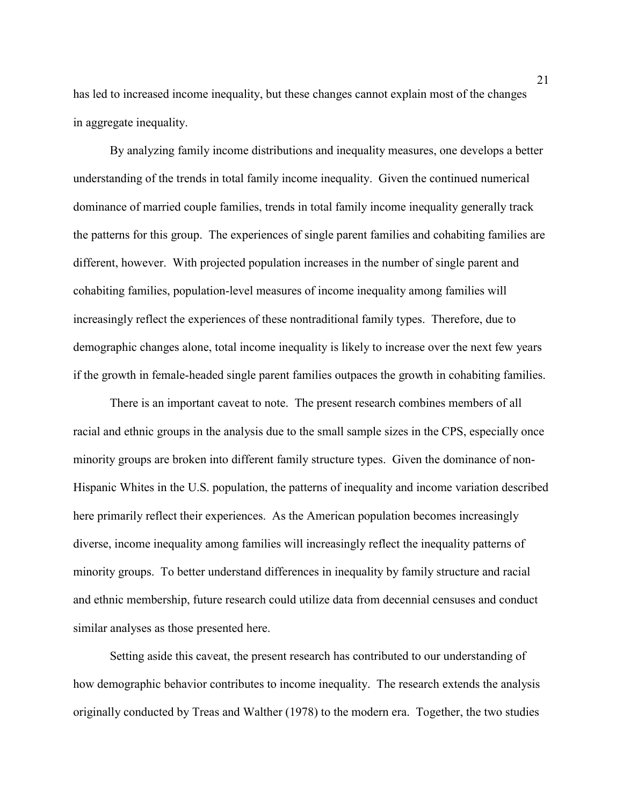has led to increased income inequality, but these changes cannot explain most of the changes in aggregate inequality.

By analyzing family income distributions and inequality measures, one develops a better understanding of the trends in total family income inequality. Given the continued numerical dominance of married couple families, trends in total family income inequality generally track the patterns for this group. The experiences of single parent families and cohabiting families are different, however. With projected population increases in the number of single parent and cohabiting families, population-level measures of income inequality among families will increasingly reflect the experiences of these nontraditional family types. Therefore, due to demographic changes alone, total income inequality is likely to increase over the next few years if the growth in female-headed single parent families outpaces the growth in cohabiting families.

There is an important caveat to note. The present research combines members of all racial and ethnic groups in the analysis due to the small sample sizes in the CPS, especially once minority groups are broken into different family structure types. Given the dominance of non-Hispanic Whites in the U.S. population, the patterns of inequality and income variation described here primarily reflect their experiences. As the American population becomes increasingly diverse, income inequality among families will increasingly reflect the inequality patterns of minority groups. To better understand differences in inequality by family structure and racial and ethnic membership, future research could utilize data from decennial censuses and conduct similar analyses as those presented here.

Setting aside this caveat, the present research has contributed to our understanding of how demographic behavior contributes to income inequality. The research extends the analysis originally conducted by Treas and Walther (1978) to the modern era. Together, the two studies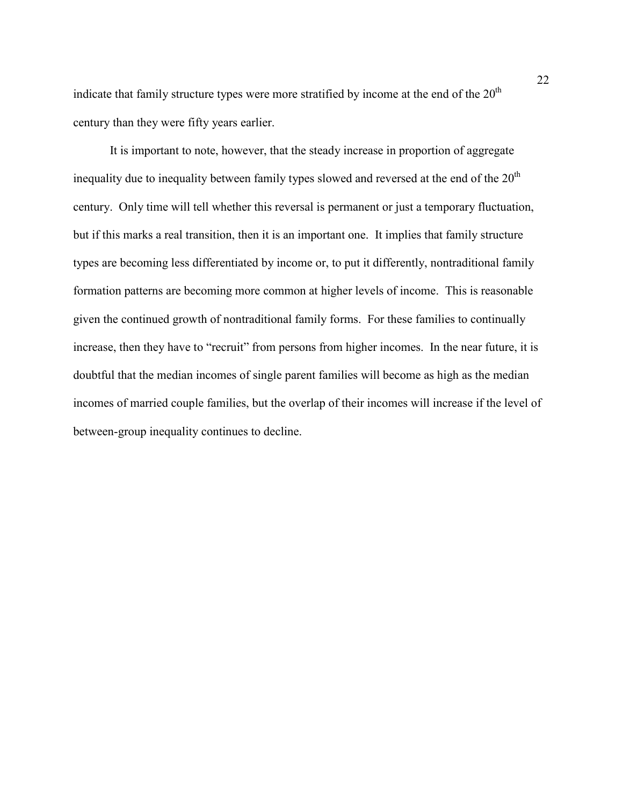indicate that family structure types were more stratified by income at the end of the  $20<sup>th</sup>$ century than they were fifty years earlier.

It is important to note, however, that the steady increase in proportion of aggregate inequality due to inequality between family types slowed and reversed at the end of the  $20<sup>th</sup>$ century. Only time will tell whether this reversal is permanent or just a temporary fluctuation, but if this marks a real transition, then it is an important one. It implies that family structure types are becoming less differentiated by income or, to put it differently, nontraditional family formation patterns are becoming more common at higher levels of income. This is reasonable given the continued growth of nontraditional family forms. For these families to continually increase, then they have to "recruit" from persons from higher incomes. In the near future, it is doubtful that the median incomes of single parent families will become as high as the median incomes of married couple families, but the overlap of their incomes will increase if the level of between-group inequality continues to decline.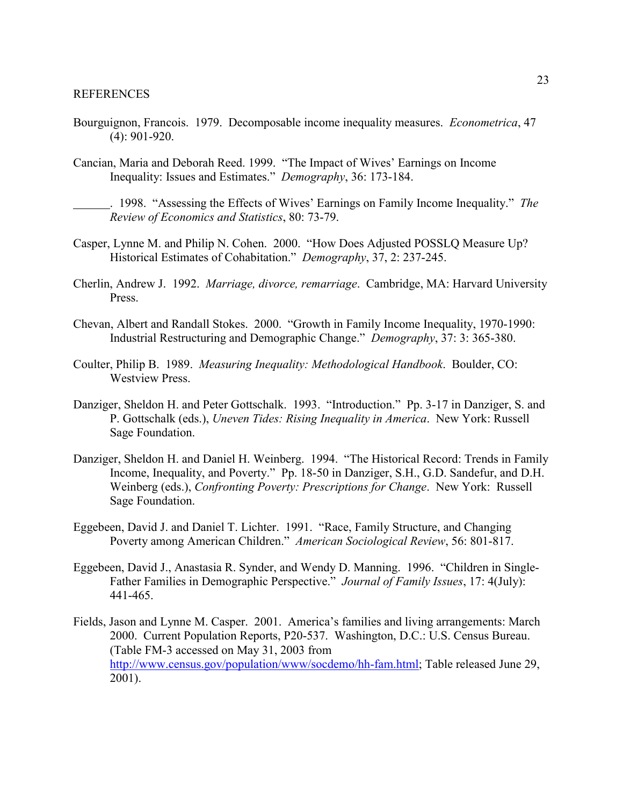- Bourguignon, Francois. 1979. Decomposable income inequality measures. *Econometrica*, 47 (4): 901-920.
- Cancian, Maria and Deborah Reed. 1999. "The Impact of Wives' Earnings on Income Inequality: Issues and Estimates." *Demography*, 36: 173-184.

. 1998. "Assessing the Effects of Wives' Earnings on Family Income Inequality." *The Review of Economics and Statistics*, 80: 73-79.

- Casper, Lynne M. and Philip N. Cohen. 2000. "How Does Adjusted POSSLQ Measure Up? Historical Estimates of Cohabitation." *Demography*, 37, 2: 237-245.
- Cherlin, Andrew J. 1992. *Marriage, divorce, remarriage*. Cambridge, MA: Harvard University Press.
- Chevan, Albert and Randall Stokes. 2000. "Growth in Family Income Inequality, 1970-1990: Industrial Restructuring and Demographic Change." *Demography*, 37: 3: 365-380.
- Coulter, Philip B. 1989. *Measuring Inequality: Methodological Handbook*. Boulder, CO: Westview Press.
- Danziger, Sheldon H. and Peter Gottschalk. 1993. "Introduction." Pp. 3-17 in Danziger, S. and P. Gottschalk (eds.), *Uneven Tides: Rising Inequality in America*. New York: Russell Sage Foundation.
- Danziger, Sheldon H. and Daniel H. Weinberg. 1994. "The Historical Record: Trends in Family Income, Inequality, and Poverty." Pp. 18-50 in Danziger, S.H., G.D. Sandefur, and D.H. Weinberg (eds.), *Confronting Poverty: Prescriptions for Change*. New York: Russell Sage Foundation.
- Eggebeen, David J. and Daniel T. Lichter. 1991. "Race, Family Structure, and Changing Poverty among American Children." *American Sociological Review*, 56: 801-817.
- Eggebeen, David J., Anastasia R. Synder, and Wendy D. Manning. 1996. "Children in Single-Father Families in Demographic Perspective." *Journal of Family Issues*, 17: 4(July): 441-465.
- Fields, Jason and Lynne M. Casper. 2001. America's families and living arrangements: March 2000. Current Population Reports, P20-537. Washington, D.C.: U.S. Census Bureau. (Table FM-3 accessed on May 31, 2003 from http://www.census.gov/population/www/socdemo/hh-fam.html; Table released June 29, 2001).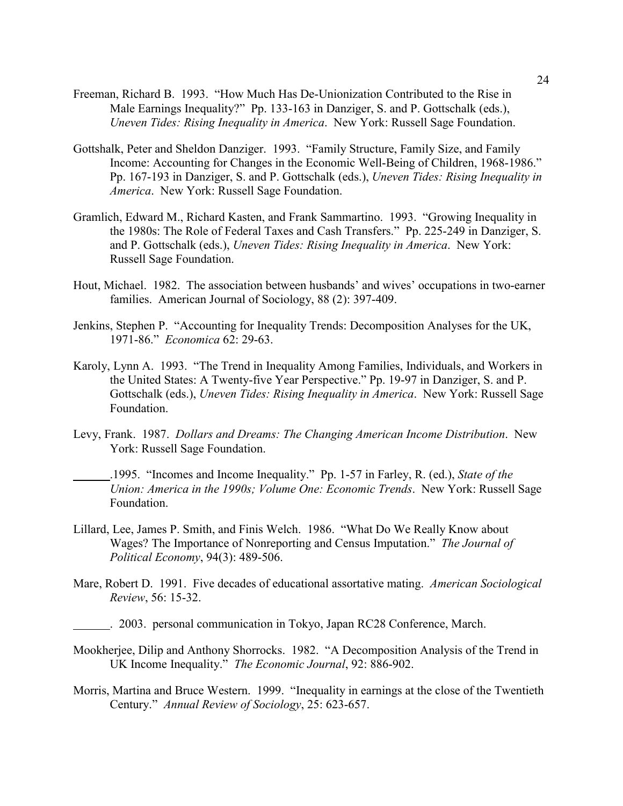- Freeman, Richard B. 1993. "How Much Has De-Unionization Contributed to the Rise in Male Earnings Inequality?" Pp. 133-163 in Danziger, S. and P. Gottschalk (eds.), *Uneven Tides: Rising Inequality in America*. New York: Russell Sage Foundation.
- Gottshalk, Peter and Sheldon Danziger. 1993. "Family Structure, Family Size, and Family Income: Accounting for Changes in the Economic Well-Being of Children, 1968-1986." Pp. 167-193 in Danziger, S. and P. Gottschalk (eds.), *Uneven Tides: Rising Inequality in America*. New York: Russell Sage Foundation.
- Gramlich, Edward M., Richard Kasten, and Frank Sammartino. 1993. "Growing Inequality in the 1980s: The Role of Federal Taxes and Cash Transfers." Pp. 225-249 in Danziger, S. and P. Gottschalk (eds.), *Uneven Tides: Rising Inequality in America*. New York: Russell Sage Foundation.
- Hout, Michael. 1982. The association between husbands' and wives' occupations in two-earner families. American Journal of Sociology, 88 (2): 397-409.
- Jenkins, Stephen P. "Accounting for Inequality Trends: Decomposition Analyses for the UK, 1971-86." *Economica* 62: 29-63.
- Karoly, Lynn A. 1993. "The Trend in Inequality Among Families, Individuals, and Workers in the United States: A Twenty-five Year Perspective." Pp. 19-97 in Danziger, S. and P. Gottschalk (eds.), *Uneven Tides: Rising Inequality in America*. New York: Russell Sage Foundation.
- Levy, Frank. 1987. *Dollars and Dreams: The Changing American Income Distribution*. New York: Russell Sage Foundation.
- .1995. "Incomes and Income Inequality." Pp. 1-57 in Farley, R. (ed.), *State of the Union: America in the 1990s; Volume One: Economic Trends*. New York: Russell Sage Foundation.
- Lillard, Lee, James P. Smith, and Finis Welch. 1986. "What Do We Really Know about Wages? The Importance of Nonreporting and Census Imputation." *The Journal of Political Economy*, 94(3): 489-506.
- Mare, Robert D. 1991. Five decades of educational assortative mating. *American Sociological Review*, 56: 15-32.

- Mookherjee, Dilip and Anthony Shorrocks. 1982. "A Decomposition Analysis of the Trend in UK Income Inequality." *The Economic Journal*, 92: 886-902.
- Morris, Martina and Bruce Western. 1999. "Inequality in earnings at the close of the Twentieth Century." *Annual Review of Sociology*, 25: 623-657.

<sup>. 2003.</sup> personal communication in Tokyo, Japan RC28 Conference, March.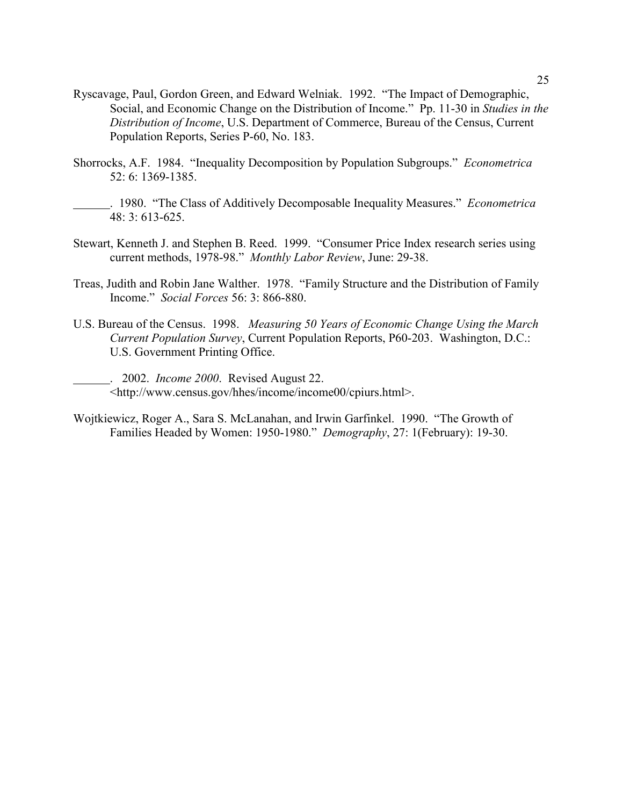- Ryscavage, Paul, Gordon Green, and Edward Welniak. 1992. "The Impact of Demographic, Social, and Economic Change on the Distribution of Income." Pp. 11-30 in *Studies in the Distribution of Income*, U.S. Department of Commerce, Bureau of the Census, Current Population Reports, Series P-60, No. 183.
- Shorrocks, A.F. 1984. "Inequality Decomposition by Population Subgroups." *Econometrica*  52: 6: 1369-1385.
	- . 1980. "The Class of Additively Decomposable Inequality Measures." *Econometrica* 48: 3: 613-625.
- Stewart, Kenneth J. and Stephen B. Reed. 1999. "Consumer Price Index research series using current methods, 1978-98." *Monthly Labor Review*, June: 29-38.
- Treas, Judith and Robin Jane Walther. 1978. "Family Structure and the Distribution of Family Income." *Social Forces* 56: 3: 866-880.
- U.S. Bureau of the Census. 1998. *Measuring 50 Years of Economic Change Using the March Current Population Survey*, Current Population Reports, P60-203. Washington, D.C.: U.S. Government Printing Office.
	- . 2002. *Income 2000*. Revised August 22. <http://www.census.gov/hhes/income/income00/cpiurs.html>.
- Wojtkiewicz, Roger A., Sara S. McLanahan, and Irwin Garfinkel. 1990. "The Growth of Families Headed by Women: 1950-1980." *Demography*, 27: 1(February): 19-30.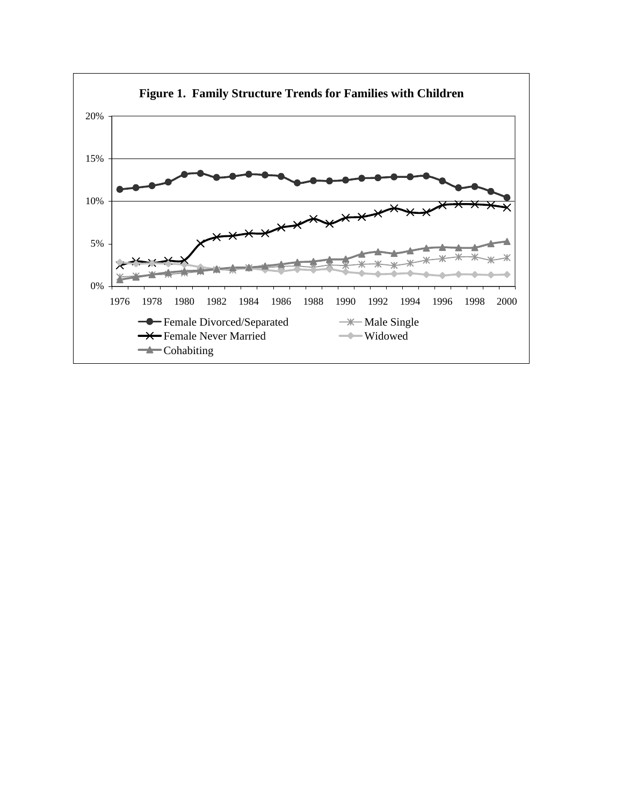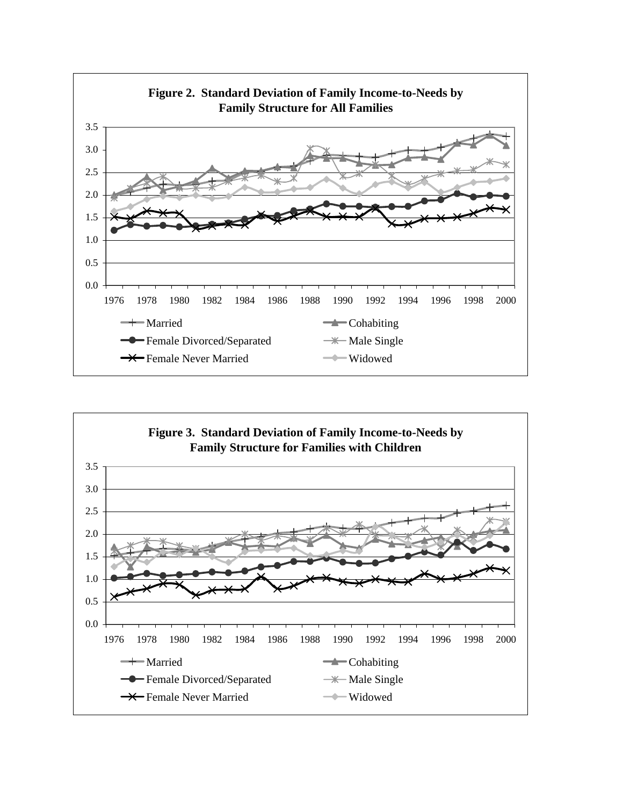

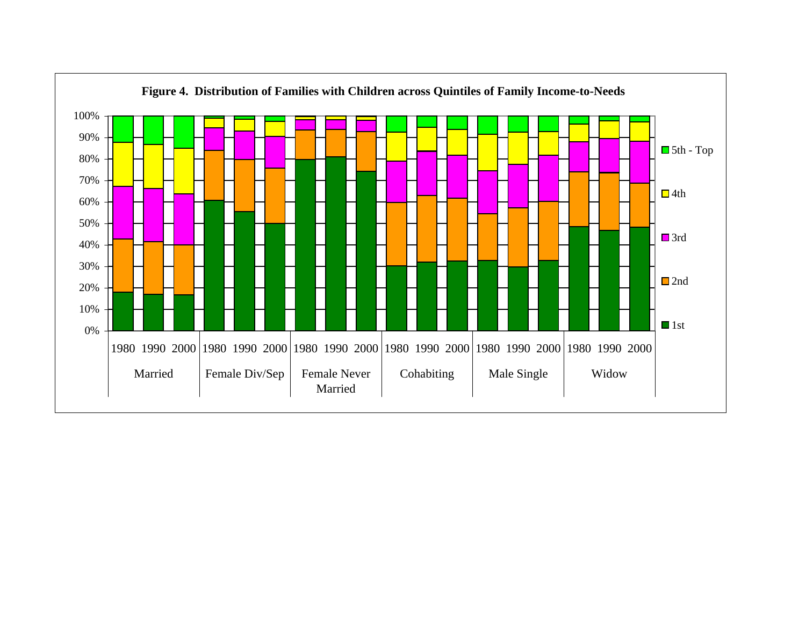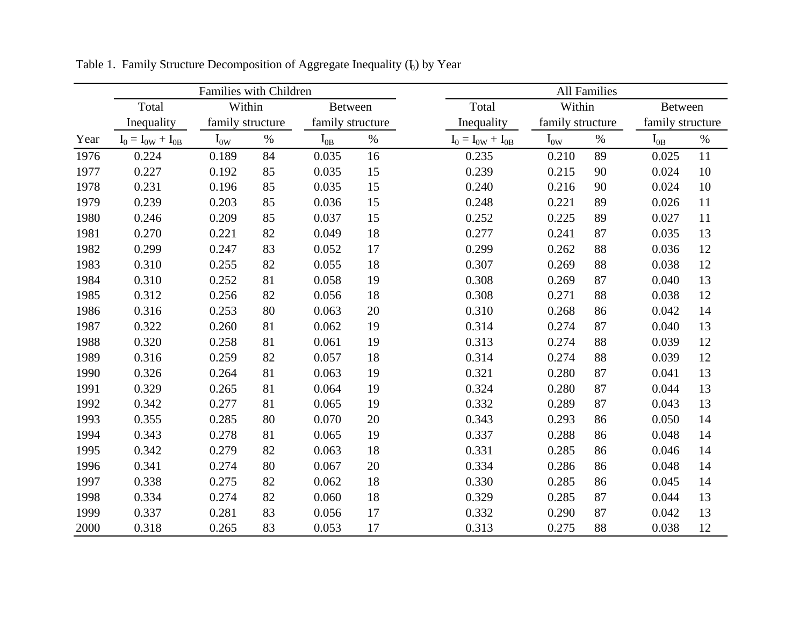|      |                         | Families with Children |        |                            |      | <b>All Families</b>     |                  |      |                  |      |  |
|------|-------------------------|------------------------|--------|----------------------------|------|-------------------------|------------------|------|------------------|------|--|
|      | Total                   | Within                 |        | Between                    |      | Total                   | Within           |      | <b>Between</b>   |      |  |
|      | Inequality              | family structure       |        | family structure           |      | Inequality              | family structure |      | family structure |      |  |
| Year | $I_0 = I_{0W} + I_{0B}$ | $I_{0W}$               | $\%$   | $\mathbf{I}_{0\mathrm{B}}$ | $\%$ | $I_0 = I_{0W} + I_{0B}$ | $I_{0W}$         | $\%$ | $I_{0B}$         | $\%$ |  |
| 1976 | 0.224                   | 0.189                  | 84     | 0.035                      | 16   | 0.235                   | 0.210            | 89   | 0.025            | 11   |  |
| 1977 | 0.227                   | 0.192                  | 85     | 0.035                      | 15   | 0.239                   | 0.215            | 90   | 0.024            | 10   |  |
| 1978 | 0.231                   | 0.196                  | 85     | 0.035                      | 15   | 0.240                   | 0.216            | 90   | 0.024            | 10   |  |
| 1979 | 0.239                   | 0.203                  | 85     | 0.036                      | 15   | 0.248                   | 0.221            | 89   | 0.026            | 11   |  |
| 1980 | 0.246                   | 0.209                  | 85     | 0.037                      | 15   | 0.252                   | 0.225            | 89   | 0.027            | 11   |  |
| 1981 | 0.270                   | 0.221                  | 82     | 0.049                      | 18   | 0.277                   | 0.241            | 87   | 0.035            | 13   |  |
| 1982 | 0.299                   | 0.247                  | 83     | 0.052                      | 17   | 0.299                   | 0.262            | 88   | 0.036            | 12   |  |
| 1983 | 0.310                   | 0.255                  | 82     | 0.055                      | 18   | 0.307                   | 0.269            | 88   | 0.038            | 12   |  |
| 1984 | 0.310                   | 0.252                  | 81     | 0.058                      | 19   | 0.308                   | 0.269            | 87   | 0.040            | 13   |  |
| 1985 | 0.312                   | 0.256                  | 82     | 0.056                      | 18   | 0.308                   | 0.271            | 88   | 0.038            | 12   |  |
| 1986 | 0.316                   | 0.253                  | $80\,$ | 0.063                      | 20   | 0.310                   | 0.268            | 86   | 0.042            | 14   |  |
| 1987 | 0.322                   | 0.260                  | 81     | 0.062                      | 19   | 0.314                   | 0.274            | 87   | 0.040            | 13   |  |
| 1988 | 0.320                   | 0.258                  | 81     | 0.061                      | 19   | 0.313                   | 0.274            | 88   | 0.039            | 12   |  |
| 1989 | 0.316                   | 0.259                  | 82     | 0.057                      | 18   | 0.314                   | 0.274            | 88   | 0.039            | 12   |  |
| 1990 | 0.326                   | 0.264                  | 81     | 0.063                      | 19   | 0.321                   | 0.280            | 87   | 0.041            | 13   |  |
| 1991 | 0.329                   | 0.265                  | 81     | 0.064                      | 19   | 0.324                   | 0.280            | 87   | 0.044            | 13   |  |
| 1992 | 0.342                   | 0.277                  | 81     | 0.065                      | 19   | 0.332                   | 0.289            | 87   | 0.043            | 13   |  |
| 1993 | 0.355                   | 0.285                  | 80     | 0.070                      | 20   | 0.343                   | 0.293            | 86   | 0.050            | 14   |  |
| 1994 | 0.343                   | 0.278                  | 81     | 0.065                      | 19   | 0.337                   | 0.288            | 86   | 0.048            | 14   |  |
| 1995 | 0.342                   | 0.279                  | 82     | 0.063                      | 18   | 0.331                   | 0.285            | 86   | 0.046            | 14   |  |
| 1996 | 0.341                   | 0.274                  | 80     | 0.067                      | 20   | 0.334                   | 0.286            | 86   | 0.048            | 14   |  |
| 1997 | 0.338                   | 0.275                  | 82     | 0.062                      | 18   | 0.330                   | 0.285            | 86   | 0.045            | 14   |  |
| 1998 | 0.334                   | 0.274                  | 82     | 0.060                      | 18   | 0.329                   | 0.285            | 87   | 0.044            | 13   |  |
| 1999 | 0.337                   | 0.281                  | 83     | 0.056                      | 17   | 0.332                   | 0.290            | 87   | 0.042            | 13   |  |
| 2000 | 0.318                   | 0.265                  | 83     | 0.053                      | 17   | 0.313                   | 0.275            | 88   | 0.038            | 12   |  |

Table 1. Family Structure Decomposition of Aggregate Inequality  $(I_0)$  by Year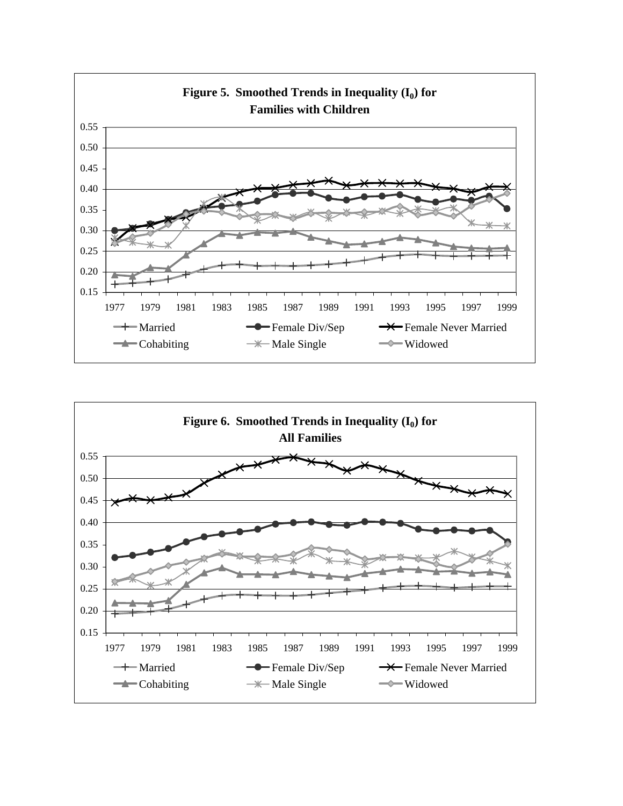

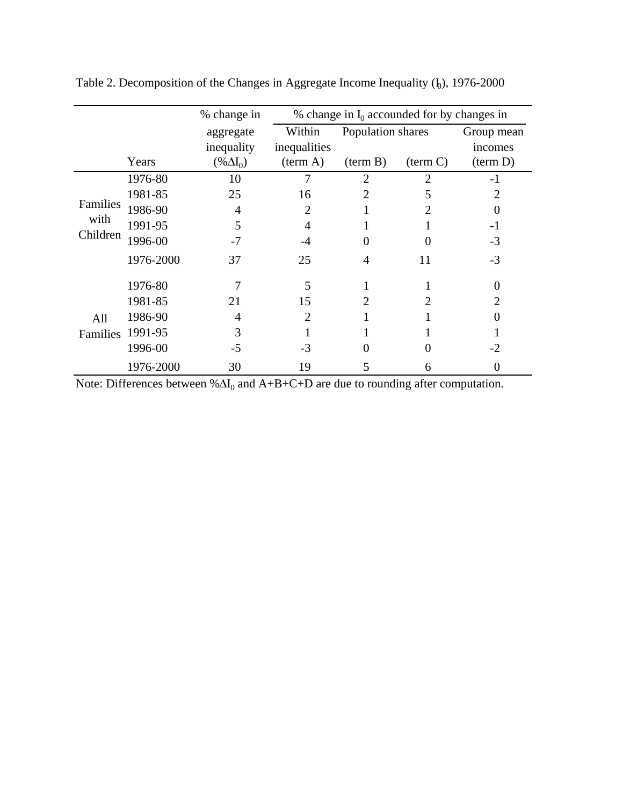|          |           | % change in $I_0$ accounded for by changes in<br>% change in |                             |                    |                   |                       |  |  |
|----------|-----------|--------------------------------------------------------------|-----------------------------|--------------------|-------------------|-----------------------|--|--|
|          |           | aggregate<br>inequality                                      | Within<br>inequalities      | Population shares  |                   | Group mean<br>incomes |  |  |
|          | Years     | $(\% \Delta I_0)$                                            | (term A)                    | $(\text{term } B)$ | (term C)          | (term D)              |  |  |
|          | 1976-80   | 10                                                           |                             | $\overline{2}$     | $\overline{2}$    | $-1$                  |  |  |
|          | 1981-85   | 25                                                           | 16                          | 2                  | 5                 | 2                     |  |  |
| Families | 1986-90   | $\overline{4}$                                               | 2                           |                    |                   | $\Omega$              |  |  |
| with     | 1991-95   | 5                                                            | 4                           |                    |                   | -1                    |  |  |
| Children | 1996-00   | $-7$                                                         | -4                          | 0                  | $\mathbf{\Omega}$ | $-3$                  |  |  |
|          | 1976-2000 | 37                                                           | 25                          | 4                  | 11                | $-3$                  |  |  |
|          | 1976-80   | 7                                                            | 5                           |                    |                   | $\theta$              |  |  |
|          | 1981-85   | 21                                                           | 15                          | 2                  |                   | $\overline{2}$        |  |  |
| All      | 1986-90   | 4                                                            | $\mathcal{D}_{\mathcal{L}}$ |                    |                   | $\Omega$              |  |  |
| Families | 1991-95   | 3                                                            |                             |                    |                   |                       |  |  |
|          | 1996-00   | $-5$                                                         | $-3$                        |                    |                   | $-2$                  |  |  |
|          | 1976-2000 | 30                                                           | 19                          | 5                  | 6                 | $\Omega$              |  |  |

Table 2. Decomposition of the Changes in Aggregate Income Inequality  $(I_0)$ , 1976-2000

Note: Differences between % $\Delta I_0$  and A+B+C+D are due to rounding after computation.